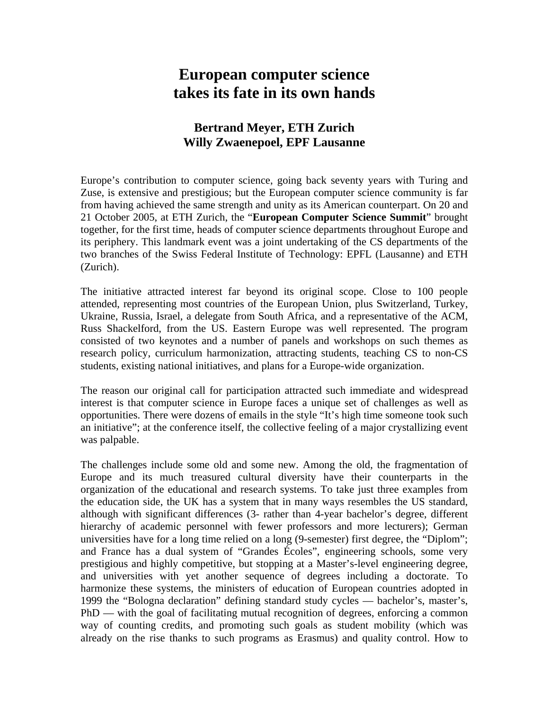## **European computer science takes its fate in its own hands**

## **Bertrand Meyer, ETH Zurich Willy Zwaenepoel, EPF Lausanne**

Europe's contribution to computer science, going back seventy years with Turing and Zuse, is extensive and prestigious; but the European computer science community is far from having achieved the same strength and unity as its American counterpart. On 20 and 21 October 2005, at ETH Zurich, the "**European Computer Science Summit**" brought together, for the first time, heads of computer science departments throughout Europe and its periphery. This landmark event was a joint undertaking of the CS departments of the two branches of the Swiss Federal Institute of Technology: EPFL (Lausanne) and ETH (Zurich).

The initiative attracted interest far beyond its original scope. Close to 100 people attended, representing most countries of the European Union, plus Switzerland, Turkey, Ukraine, Russia, Israel, a delegate from South Africa, and a representative of the ACM, Russ Shackelford, from the US. Eastern Europe was well represented. The program consisted of two keynotes and a number of panels and workshops on such themes as research policy, curriculum harmonization, attracting students, teaching CS to non-CS students, existing national initiatives, and plans for a Europe-wide organization.

The reason our original call for participation attracted such immediate and widespread interest is that computer science in Europe faces a unique set of challenges as well as opportunities. There were dozens of emails in the style "It's high time someone took such an initiative"; at the conference itself, the collective feeling of a major crystallizing event was palpable.

The challenges include some old and some new. Among the old, the fragmentation of Europe and its much treasured cultural diversity have their counterparts in the organization of the educational and research systems. To take just three examples from the education side, the UK has a system that in many ways resembles the US standard, although with significant differences (3- rather than 4-year bachelor's degree, different hierarchy of academic personnel with fewer professors and more lecturers); German universities have for a long time relied on a long (9-semester) first degree, the "Diplom"; and France has a dual system of "Grandes Écoles", engineering schools, some very prestigious and highly competitive, but stopping at a Master's-level engineering degree, and universities with yet another sequence of degrees including a doctorate. To harmonize these systems, the ministers of education of European countries adopted in 1999 the "Bologna declaration" defining standard study cycles — bachelor's, master's, PhD — with the goal of facilitating mutual recognition of degrees, enforcing a common way of counting credits, and promoting such goals as student mobility (which was already on the rise thanks to such programs as Erasmus) and quality control. How to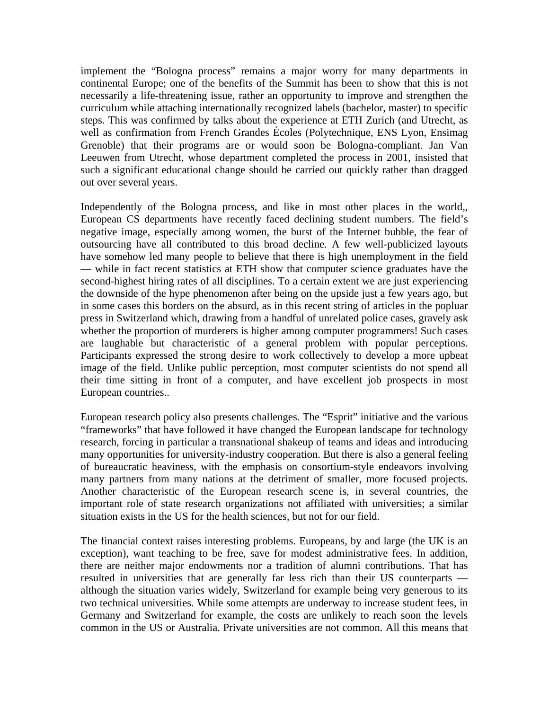implement the "Bologna process" remains a major worry for many departments in continental Europe; one of the benefits of the Summit has been to show that this is not necessarily a life-threatening issue, rather an opportunity to improve and strengthen the curriculum while attaching internationally recognized labels (bachelor, master) to specific steps. This was confirmed by talks about the experience at ETH Zurich (and Utrecht, as well as confirmation from French Grandes Écoles (Polytechnique, ENS Lyon, Ensimag Grenoble) that their programs are or would soon be Bologna-compliant. Jan Van Leeuwen from Utrecht, whose department completed the process in 2001, insisted that such a significant educational change should be carried out quickly rather than dragged out over several years.

Independently of the Bologna process, and like in most other places in the world,, European CS departments have recently faced declining student numbers. The field's negative image, especially among women, the burst of the Internet bubble, the fear of outsourcing have all contributed to this broad decline. A few well-publicized layouts have somehow led many people to believe that there is high unemployment in the field — while in fact recent statistics at ETH show that computer science graduates have the second-highest hiring rates of all disciplines. To a certain extent we are just experiencing the downside of the hype phenomenon after being on the upside just a few years ago, but in some cases this borders on the absurd, as in this recent string of articles in the popluar press in Switzerland which, drawing from a handful of unrelated police cases, gravely ask whether the proportion of murderers is higher among computer programmers! Such cases are laughable but characteristic of a general problem with popular perceptions. Participants expressed the strong desire to work collectively to develop a more upbeat image of the field. Unlike public perception, most computer scientists do not spend all their time sitting in front of a computer, and have excellent job prospects in most European countries..

European research policy also presents challenges. The "Esprit" initiative and the various "frameworks" that have followed it have changed the European landscape for technology research, forcing in particular a transnational shakeup of teams and ideas and introducing many opportunities for university-industry cooperation. But there is also a general feeling of bureaucratic heaviness, with the emphasis on consortium-style endeavors involving many partners from many nations at the detriment of smaller, more focused projects. Another characteristic of the European research scene is, in several countries, the important role of state research organizations not affiliated with universities; a similar situation exists in the US for the health sciences, but not for our field.

The financial context raises interesting problems. Europeans, by and large (the UK is an exception), want teaching to be free, save for modest administrative fees. In addition, there are neither major endowments nor a tradition of alumni contributions. That has resulted in universities that are generally far less rich than their US counterparts although the situation varies widely, Switzerland for example being very generous to its two technical universities. While some attempts are underway to increase student fees, in Germany and Switzerland for example, the costs are unlikely to reach soon the levels common in the US or Australia. Private universities are not common. All this means that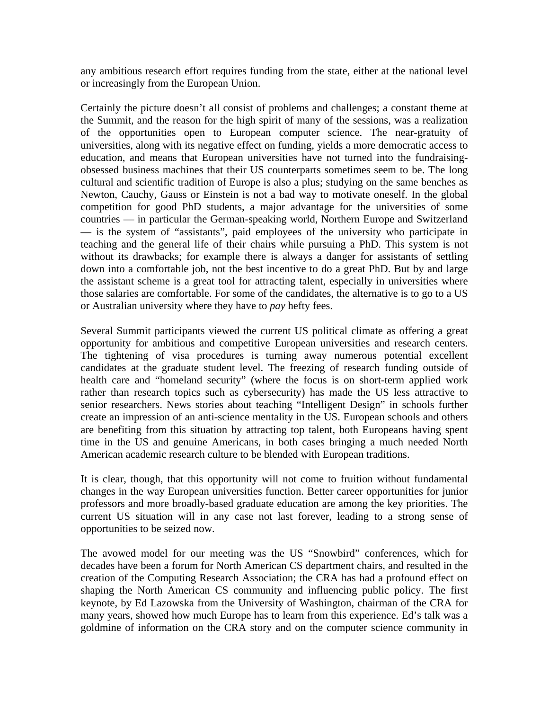any ambitious research effort requires funding from the state, either at the national level or increasingly from the European Union.

Certainly the picture doesn't all consist of problems and challenges; a constant theme at the Summit, and the reason for the high spirit of many of the sessions, was a realization of the opportunities open to European computer science. The near-gratuity of universities, along with its negative effect on funding, yields a more democratic access to education, and means that European universities have not turned into the fundraisingobsessed business machines that their US counterparts sometimes seem to be. The long cultural and scientific tradition of Europe is also a plus; studying on the same benches as Newton, Cauchy, Gauss or Einstein is not a bad way to motivate oneself. In the global competition for good PhD students, a major advantage for the universities of some countries — in particular the German-speaking world, Northern Europe and Switzerland — is the system of "assistants", paid employees of the university who participate in teaching and the general life of their chairs while pursuing a PhD. This system is not without its drawbacks; for example there is always a danger for assistants of settling down into a comfortable job, not the best incentive to do a great PhD. But by and large the assistant scheme is a great tool for attracting talent, especially in universities where those salaries are comfortable. For some of the candidates, the alternative is to go to a US or Australian university where they have to *pay* hefty fees.

Several Summit participants viewed the current US political climate as offering a great opportunity for ambitious and competitive European universities and research centers. The tightening of visa procedures is turning away numerous potential excellent candidates at the graduate student level. The freezing of research funding outside of health care and "homeland security" (where the focus is on short-term applied work rather than research topics such as cybersecurity) has made the US less attractive to senior researchers. News stories about teaching "Intelligent Design" in schools further create an impression of an anti-science mentality in the US. European schools and others are benefiting from this situation by attracting top talent, both Europeans having spent time in the US and genuine Americans, in both cases bringing a much needed North American academic research culture to be blended with European traditions.

It is clear, though, that this opportunity will not come to fruition without fundamental changes in the way European universities function. Better career opportunities for junior professors and more broadly-based graduate education are among the key priorities. The current US situation will in any case not last forever, leading to a strong sense of opportunities to be seized now.

The avowed model for our meeting was the US "Snowbird" conferences, which for decades have been a forum for North American CS department chairs, and resulted in the creation of the Computing Research Association; the CRA has had a profound effect on shaping the North American CS community and influencing public policy. The first keynote, by Ed Lazowska from the University of Washington, chairman of the CRA for many years, showed how much Europe has to learn from this experience. Ed's talk was a goldmine of information on the CRA story and on the computer science community in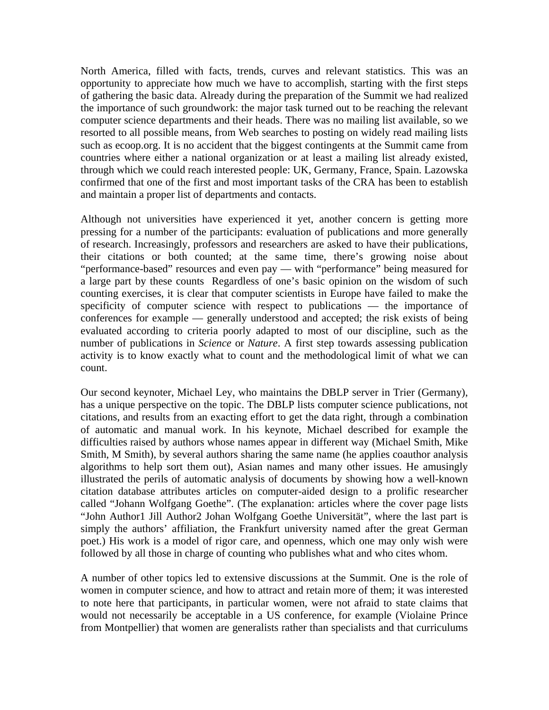North America, filled with facts, trends, curves and relevant statistics. This was an opportunity to appreciate how much we have to accomplish, starting with the first steps of gathering the basic data. Already during the preparation of the Summit we had realized the importance of such groundwork: the major task turned out to be reaching the relevant computer science departments and their heads. There was no mailing list available, so we resorted to all possible means, from Web searches to posting on widely read mailing lists such as ecoop.org. It is no accident that the biggest contingents at the Summit came from countries where either a national organization or at least a mailing list already existed, through which we could reach interested people: UK, Germany, France, Spain. Lazowska confirmed that one of the first and most important tasks of the CRA has been to establish and maintain a proper list of departments and contacts.

Although not universities have experienced it yet, another concern is getting more pressing for a number of the participants: evaluation of publications and more generally of research. Increasingly, professors and researchers are asked to have their publications, their citations or both counted; at the same time, there's growing noise about "performance-based" resources and even pay — with "performance" being measured for a large part by these counts Regardless of one's basic opinion on the wisdom of such counting exercises, it is clear that computer scientists in Europe have failed to make the specificity of computer science with respect to publications — the importance of conferences for example — generally understood and accepted; the risk exists of being evaluated according to criteria poorly adapted to most of our discipline, such as the number of publications in *Science* or *Nature*. A first step towards assessing publication activity is to know exactly what to count and the methodological limit of what we can count.

Our second keynoter, Michael Ley, who maintains the DBLP server in Trier (Germany), has a unique perspective on the topic. The DBLP lists computer science publications, not citations, and results from an exacting effort to get the data right, through a combination of automatic and manual work. In his keynote, Michael described for example the difficulties raised by authors whose names appear in different way (Michael Smith, Mike Smith, M Smith), by several authors sharing the same name (he applies coauthor analysis algorithms to help sort them out), Asian names and many other issues. He amusingly illustrated the perils of automatic analysis of documents by showing how a well-known citation database attributes articles on computer-aided design to a prolific researcher called "Johann Wolfgang Goethe". (The explanation: articles where the cover page lists "John Author1 Jill Author2 Johan Wolfgang Goethe Universität", where the last part is simply the authors' affiliation, the Frankfurt university named after the great German poet.) His work is a model of rigor care, and openness, which one may only wish were followed by all those in charge of counting who publishes what and who cites whom.

A number of other topics led to extensive discussions at the Summit. One is the role of women in computer science, and how to attract and retain more of them; it was interested to note here that participants, in particular women, were not afraid to state claims that would not necessarily be acceptable in a US conference, for example (Violaine Prince from Montpellier) that women are generalists rather than specialists and that curriculums